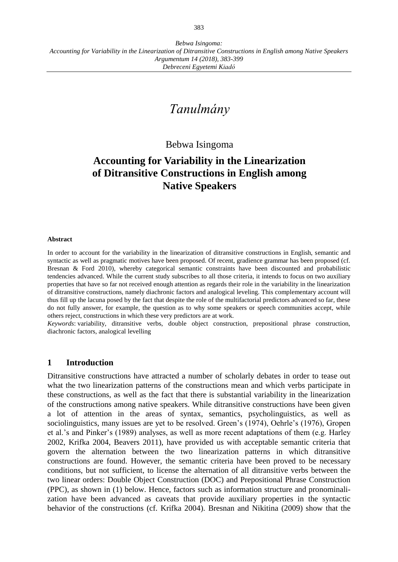# *Tanulmány*

# Bebwa Isingoma

# **Accounting for Variability in the Linearization of Ditransitive Constructions in English among Native Speakers**

### **Abstract**

In order to account for the variability in the linearization of ditransitive constructions in English, semantic and syntactic as well as pragmatic motives have been proposed. Of recent, gradience grammar has been proposed (cf. Bresnan & Ford 2010), whereby categorical semantic constraints have been discounted and probabilistic tendencies advanced. While the current study subscribes to all those criteria, it intends to focus on two auxiliary properties that have so far not received enough attention as regards their role in the variability in the linearization of ditransitive constructions, namely diachronic factors and analogical leveling. This complementary account will thus fill up the lacuna posed by the fact that despite the role of the multifactorial predictors advanced so far, these do not fully answer, for example, the question as to why some speakers or speech communities accept, while others reject, constructions in which these very predictors are at work.

*Keywords*: variability, ditransitive verbs, double object construction, prepositional phrase construction, diachronic factors, analogical levelling

### **1 Introduction**

Ditransitive constructions have attracted a number of scholarly debates in order to tease out what the two linearization patterns of the constructions mean and which verbs participate in these constructions, as well as the fact that there is substantial variability in the linearization of the constructions among native speakers. While ditransitive constructions have been given a lot of attention in the areas of syntax, semantics, psycholinguistics, as well as sociolinguistics, many issues are yet to be resolved. Green's (1974), Oehrle's (1976), Gropen et al.'s and Pinker's (1989) analyses, as well as more recent adaptations of them (e.g. Harley 2002, Krifka 2004, Beavers 2011), have provided us with acceptable semantic criteria that govern the alternation between the two linearization patterns in which ditransitive constructions are found. However, the semantic criteria have been proved to be necessary conditions, but not sufficient, to license the alternation of all ditransitive verbs between the two linear orders: Double Object Construction (DOC) and Prepositional Phrase Construction (PPC), as shown in (1) below. Hence, factors such as information structure and pronominalization have been advanced as caveats that provide auxiliary properties in the syntactic behavior of the constructions (cf. Krifka 2004). Bresnan and Nikitina (2009) show that the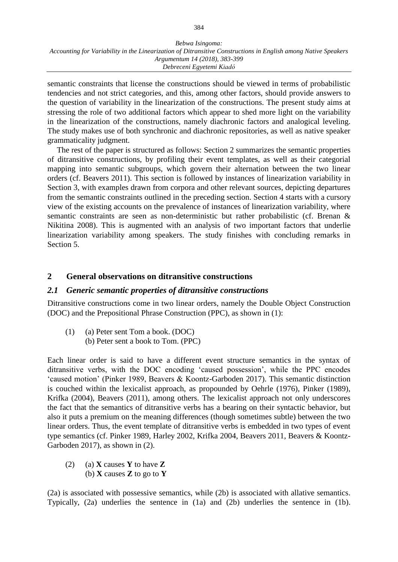semantic constraints that license the constructions should be viewed in terms of probabilistic tendencies and not strict categories, and this, among other factors, should provide answers to the question of variability in the linearization of the constructions. The present study aims at stressing the role of two additional factors which appear to shed more light on the variability in the linearization of the constructions, namely diachronic factors and analogical leveling. The study makes use of both synchronic and diachronic repositories, as well as native speaker grammaticality judgment.

The rest of the paper is structured as follows: Section 2 summarizes the semantic properties of ditransitive constructions, by profiling their event templates, as well as their categorial mapping into semantic subgroups, which govern their alternation between the two linear orders (cf. Beavers 2011). This section is followed by instances of linearization variability in Section 3, with examples drawn from corpora and other relevant sources, depicting departures from the semantic constraints outlined in the preceding section. Section 4 starts with a cursory view of the existing accounts on the prevalence of instances of linearization variability, where semantic constraints are seen as non-deterministic but rather probabilistic (cf. Brenan & Nikitina 2008). This is augmented with an analysis of two important factors that underlie linearization variability among speakers. The study finishes with concluding remarks in Section 5.

# **2 General observations on ditransitive constructions**

# *2.1 Generic semantic properties of ditransitive constructions*

Ditransitive constructions come in two linear orders, namely the Double Object Construction (DOC) and the Prepositional Phrase Construction (PPC), as shown in (1):

(1) (a) Peter sent Tom a book. (DOC) (b) Peter sent a book to Tom. (PPC)

Each linear order is said to have a different event structure semantics in the syntax of ditransitive verbs, with the DOC encoding 'caused possession', while the PPC encodes 'caused motion' (Pinker 1989, Beavers & Koontz-Garboden 2017). This semantic distinction is couched within the lexicalist approach, as propounded by Oehrle (1976), Pinker (1989), Krifka (2004), Beavers (2011), among others. The lexicalist approach not only underscores the fact that the semantics of ditransitive verbs has a bearing on their syntactic behavior, but also it puts a premium on the meaning differences (though sometimes subtle) between the two linear orders. Thus, the event template of ditransitive verbs is embedded in two types of event type semantics (cf. Pinker 1989, Harley 2002, Krifka 2004, Beavers 2011, Beavers & Koontz-Garboden 2017), as shown in (2).

(2) (a) **X** causes **Y** to have **Z** (b) **X** causes **Z** to go to **Y**

(2a) is associated with possessive semantics, while (2b) is associated with allative semantics. Typically, (2a) underlies the sentence in (1a) and (2b) underlies the sentence in (1b).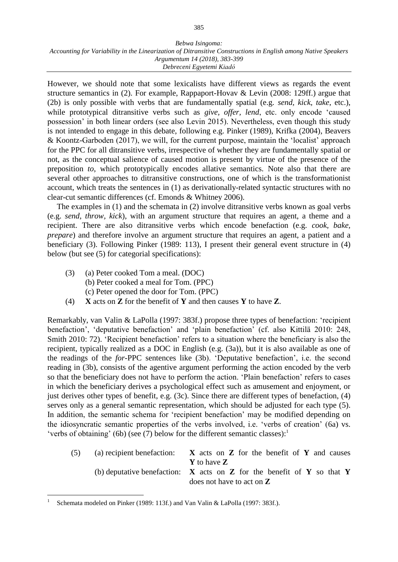However, we should note that some lexicalists have different views as regards the event structure semantics in (2). For example, Rappaport-Hovav & Levin (2008: 129ff.) argue that (2b) is only possible with verbs that are fundamentally spatial (e.g. *send, kick, take*, etc.), while prototypical ditransitive verbs such as *give, offer, lend*, etc. only encode 'caused possession' in both linear orders (see also Levin 2015). Nevertheless, even though this study is not intended to engage in this debate, following e.g. Pinker (1989), Krifka (2004), Beavers & Koontz-Garboden (2017), we will, for the current purpose, maintain the 'localist' approach for the PPC for all ditransitive verbs, irrespective of whether they are fundamentally spatial or not, as the conceptual salience of caused motion is present by virtue of the presence of the preposition *to*, which prototypically encodes allative semantics. Note also that there are several other approaches to ditransitive constructions, one of which is the transformationist account, which treats the sentences in (1) as derivationally-related syntactic structures with no clear-cut semantic differences (cf. Emonds & Whitney 2006).

The examples in (1) and the schemata in (2) involve ditransitive verbs known as goal verbs (e.g. *send, throw, kick*), with an argument structure that requires an agent, a theme and a recipient. There are also ditransitive verbs which encode benefaction (e.g. *cook, bake, prepare*) and therefore involve an argument structure that requires an agent, a patient and a beneficiary (3). Following Pinker (1989: 113), I present their general event structure in (4) below (but see (5) for categorial specifications):

- (3) (a) Peter cooked Tom a meal. (DOC) (b) Peter cooked a meal for Tom. (PPC)
	- (c) Peter opened the door for Tom. (PPC)
- (4) **X** acts on **Z** for the benefit of **Y** and then causes **Y** to have **Z**.

Remarkably, van Valin & LaPolla (1997: 383f.) propose three types of benefaction: 'recipient benefaction', 'deputative benefaction' and 'plain benefaction' (cf. also Kittilä 2010: 248, Smith 2010: 72). 'Recipient benefaction' refers to a situation where the beneficiary is also the recipient, typically realized as a DOC in English (e.g. (3a)), but it is also available as one of the readings of the *for-*PPC sentences like (3b). 'Deputative benefaction', i.e. the second reading in (3b), consists of the agentive argument performing the action encoded by the verb so that the beneficiary does not have to perform the action. 'Plain benefaction' refers to cases in which the beneficiary derives a psychological effect such as amusement and enjoyment, or just derives other types of benefit, e.g. (3c). Since there are different types of benefaction, (4) serves only as a general semantic representation, which should be adjusted for each type (5). In addition, the semantic schema for 'recipient benefaction' may be modified depending on the idiosyncratic semantic properties of the verbs involved, i.e. 'verbs of creation' (6a) vs. 'verbs of obtaining' (6b) (see (7) below for the different semantic classes): $<sup>1</sup>$ </sup>

| (5) | (a) recipient benefaction:  | $X$ acts on $Z$ for the benefit of $Y$ and causes                            |  |  |  |  |  |  |
|-----|-----------------------------|------------------------------------------------------------------------------|--|--|--|--|--|--|
|     |                             | <b>Y</b> to have <b>Z</b>                                                    |  |  |  |  |  |  |
|     |                             | (b) deputative benefaction: $X$ acts on $Z$ for the benefit of $Y$ so that Y |  |  |  |  |  |  |
|     | does not have to act on $Z$ |                                                                              |  |  |  |  |  |  |

<sup>1</sup> Schemata modeled on Pinker (1989: 113f.) and Van Valin & LaPolla (1997: 383f.).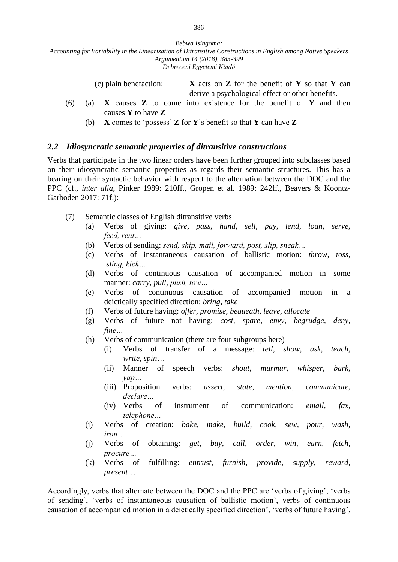|     |  | (c) plain benefaction:                                                    | $X$ acts on $Z$ for the benefit of $Y$ so that $Y$ can |  |  |  |  |  |  |  |
|-----|--|---------------------------------------------------------------------------|--------------------------------------------------------|--|--|--|--|--|--|--|
|     |  |                                                                           | derive a psychological effect or other benefits.       |  |  |  |  |  |  |  |
| (6) |  | (a) $X$ causes $Z$ to come into existence for the benefit of $Y$ and then |                                                        |  |  |  |  |  |  |  |
|     |  | causes $Y$ to have $Z$                                                    |                                                        |  |  |  |  |  |  |  |

(b) **X** comes to 'possess' **Z** for **Y**'s benefit so that **Y** can have **Z**

# *2.2 Idiosyncratic semantic properties of ditransitive constructions*

Verbs that participate in the two linear orders have been further grouped into subclasses based on their idiosyncratic semantic properties as regards their semantic structures. This has a bearing on their syntactic behavior with respect to the alternation between the DOC and the PPC (cf., *inter alia*, Pinker 1989: 210ff., Gropen et al. 1989: 242ff., Beavers & Koontz-Garboden 2017: 71f.):

- (7) Semantic classes of English ditransitive verbs
	- (a) Verbs of giving: *give, pass, hand, sell, pay, lend, loan, serve, feed, rent…*
	- (b) Verbs of sending: *send, ship, mail, forward, post, slip, sneak…*
	- (c) Verbs of instantaneous causation of ballistic motion: *throw, toss, sling, kick…*
	- (d) Verbs of continuous causation of accompanied motion in some manner: *carry, pull, push, tow…*
	- (e) Verbs of continuous causation of accompanied motion in a deictically specified direction: *bring, take*
	- (f) Verbs of future having: *offer, promise, bequeath, leave, allocate*
	- (g) Verbs of future not having: *cost, spare, envy, begrudge, deny, fine…*
	- (h) Verbs of communication (there are four subgroups here)
		- (i) Verbs of transfer of a message: *tell, show, ask, teach, write, spin*…
		- (ii) Manner of speech verbs: *shout, murmur, whisper, bark, yap…*
		- (iii) Proposition verbs: *assert, state, mention, communicate, declare…*
		- (iv) Verbs of instrument of communication: *email, fax, telephone…*
	- (i) Verbs of creation: *bake, make, build, cook, sew, pour, wash, iron…*
	- (j) Verbs of obtaining: *get, buy, call, order, win, earn, fetch, procure…*
	- (k) Verbs of fulfilling: *entrust, furnish, provide, supply, reward, present*…

Accordingly, verbs that alternate between the DOC and the PPC are 'verbs of giving', 'verbs of sending', 'verbs of instantaneous causation of ballistic motion', verbs of continuous causation of accompanied motion in a deictically specified direction', 'verbs of future having',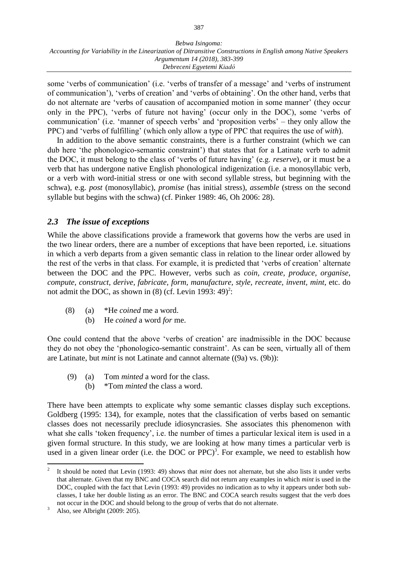some 'verbs of communication' (i.e. 'verbs of transfer of a message' and 'verbs of instrument of communication'), 'verbs of creation' and 'verbs of obtaining'. On the other hand, verbs that do not alternate are 'verbs of causation of accompanied motion in some manner' (they occur only in the PPC), 'verbs of future not having' (occur only in the DOC), some 'verbs of communication' (i.e. 'manner of speech verbs' and 'proposition verbs' – they only allow the PPC) and 'verbs of fulfilling' (which only allow a type of PPC that requires the use of *with*).

In addition to the above semantic constraints, there is a further constraint (which we can dub here 'the phonologico-semantic constraint') that states that for a Latinate verb to admit the DOC, it must belong to the class of 'verbs of future having' (e.g. *reserve*), or it must be a verb that has undergone native English phonological indigenization (i.e. a monosyllabic verb, or a verb with word-initial stress or one with second syllable stress, but beginning with the schwa), e.g. *post* (monosyllabic), *promise* (has initial stress), *assemble* (stress on the second syllable but begins with the schwa) (cf. Pinker 1989: 46, Oh 2006: 28).

# *2.3 The issue of exceptions*

While the above classifications provide a framework that governs how the verbs are used in the two linear orders, there are a number of exceptions that have been reported, i.e. situations in which a verb departs from a given semantic class in relation to the linear order allowed by the rest of the verbs in that class. For example, it is predicted that 'verbs of creation' alternate between the DOC and the PPC. However, verbs such as *coin, create, produce, organise, compute, construct, derive, fabricate, form, manufacture, style, recreate, invent, mint*, etc. do not admit the DOC, as shown in  $(8)$  (cf. Levin 1993: 49)<sup>2</sup>:

- (8) (a) \*He *coined* me a word.
	- (b) He *coined* a word *for* me.

One could contend that the above 'verbs of creation' are inadmissible in the DOC because they do not obey the 'phonologico-semantic constraint'. As can be seen, virtually all of them are Latinate, but *mint* is not Latinate and cannot alternate ((9a) vs. (9b)):

- (9) (a) Tom *minted* a word for the class.
	- (b) \*Tom *minted* the class a word.

There have been attempts to explicate why some semantic classes display such exceptions. Goldberg (1995: 134), for example, notes that the classification of verbs based on semantic classes does not necessarily preclude idiosyncrasies. She associates this phenomenon with what she calls 'token frequency', i.e. the number of times a particular lexical item is used in a given formal structure. In this study, we are looking at how many times a particular verb is used in a given linear order (i.e. the DOC or PPC)<sup>3</sup>. For example, we need to establish how

<sup>2</sup> It should be noted that Levin (1993: 49) shows that *mint* does not alternate, but she also lists it under verbs that alternate. Given that my BNC and COCA search did not return any examples in which *mint* is used in the DOC, coupled with the fact that Levin (1993: 49) provides no indication as to why it appears under both subclasses, I take her double listing as an error. The BNC and COCA search results suggest that the verb does not occur in the DOC and should belong to the group of verbs that do not alternate.

<sup>&</sup>lt;sup>3</sup> Also, see Albright (2009: 205).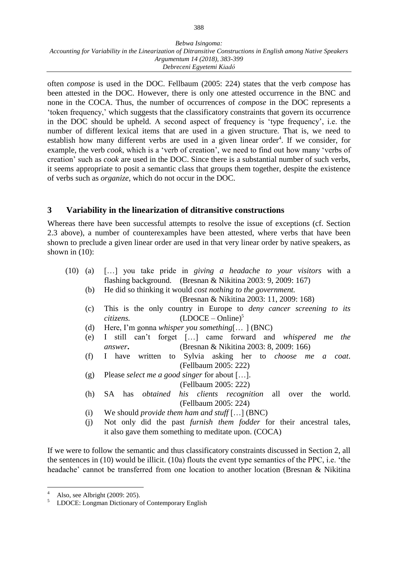often *compose* is used in the DOC. Fellbaum (2005: 224) states that the verb *compose* has been attested in the DOC. However, there is only one attested occurrence in the BNC and none in the COCA. Thus, the number of occurrences of *compose* in the DOC represents a 'token frequency,' which suggests that the classificatory constraints that govern its occurrence in the DOC should be upheld. A second aspect of frequency is 'type frequency', i.e. the number of different lexical items that are used in a given structure. That is, we need to establish how many different verbs are used in a given linear order<sup>4</sup>. If we consider, for example, the verb *cook*, which is a 'verb of creation', we need to find out how many 'verbs of creation' such as *cook* are used in the DOC. Since there is a substantial number of such verbs, it seems appropriate to posit a semantic class that groups them together, despite the existence of verbs such as *organize*, which do not occur in the DOC.

# **3 Variability in the linearization of ditransitive constructions**

Whereas there have been successful attempts to resolve the issue of exceptions (cf. Section 2.3 above), a number of counterexamples have been attested, where verbs that have been shown to preclude a given linear order are used in that very linear order by native speakers, as shown in (10):

- (10) (a) […] you take pride in *giving a headache to your visitors* with a flashing background. (Bresnan & Nikitina 2003: 9, 2009: 167)
	- (b) He did so thinking it would *cost nothing to the government.*
		- (Bresnan & Nikitina 2003: 11, 2009: 168)
	- (c) This is the only country in Europe to *deny cancer screening to its citizens.* (LDOCE – Online)<sup>5</sup>
	- (d) Here, I'm gonna *whisper you something*[… ] (BNC)
	- (e) I still can't forget […] came forward and *whispered me the answer***.** (Bresnan & Nikitina 2003: 8, 2009: 166)
	- (f) I have written to Sylvia asking her to *choose me a coat*. (Fellbaum 2005: 222)
	- (g) Please *select me a good singer* for about […]. (Fellbaum 2005: 222)
	- (h) SA has *obtained his clients recognition* all over the world. (Fellbaum 2005: 224)
	- (i) We should *provide them ham and stuff* […] (BNC)
	- (j) Not only did the past *furnish them fodder* for their ancestral tales, it also gave them something to meditate upon. (COCA)

If we were to follow the semantic and thus classificatory constraints discussed in Section 2, all the sentences in (10) would be illicit. (10a) flouts the event type semantics of the PPC, i.e. 'the headache' cannot be transferred from one location to another location (Bresnan & Nikitina

<sup>&</sup>lt;sup>4</sup> Also, see Albright (2009: 205).<br><sup>5</sup> LDOCE: Longman Dictionary

<sup>5</sup> LDOCE: Longman Dictionary of Contemporary English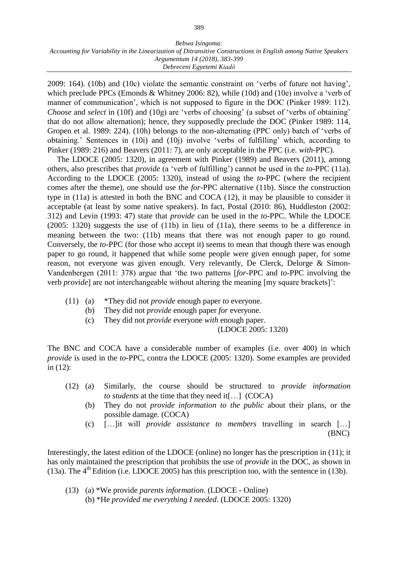2009: 164). (10b) and (10c) violate the semantic constraint on 'verbs of future not having', which preclude PPCs (Emonds & Whitney 2006: 82), while (10d) and (10e) involve a 'verb of manner of communication', which is not supposed to figure in the DOC (Pinker 1989: 112). *Choose* and *select* in (10f) and (10g) are 'verbs of choosing' (a subset of 'verbs of obtaining' that do not allow alternation); hence, they supposedly preclude the DOC (Pinker 1989: 114, Gropen et al. 1989: 224). (10h) belongs to the non-alternating (PPC only) batch of 'verbs of obtaining.' Sentences in (10i) and (10j) involve 'verbs of fulfilling' which, according to Pinker (1989: 216) and Beavers (2011: 7), are only acceptable in the PPC (i.e. *with-*PPC).

The LDOCE (2005: 1320), in agreement with Pinker (1989) and Beavers (2011), among others, also prescribes that *provide* (a 'verb of fulfilling') cannot be used in the *to-*PPC (11a). According to the LDOCE (2005: 1320), instead of using the *to-*PPC (where the recipient comes after the theme), one should use the *for*-PPC alternative (11b). Since the construction type in (11a) is attested in both the BNC and COCA (12), it may be plausible to consider it acceptable (at least by some native speakers). In fact, Postal (2010: 86), Huddleston (2002: 312) and Levin (1993: 47) state that *provide* can be used in the *to-*PPC. While the LDOCE (2005: 1320) suggests the use of (11b) in lieu of (11a), there seems to be a difference in meaning between the two: (11b) means that there was not enough paper to go round. Conversely, the *to-*PPC (for those who accept it) seems to mean that though there was enough paper to go round, it happened that while some people were given enough paper, for some reason, not everyone was given enough. Very relevantly, De Clerck, Delorge & Simon-Vandenbergen (2011: 378) argue that 'the two patterns [*for-*PPC and *to-*PPC involving the verb *provide*] are not interchangeable without altering the meaning [my square brackets]':

- (11) (a) \*They did not *provide* enough paper *to* everyone.
	- (b) They did not *provide* enough paper *for* everyone.
	- (c) They did not *provide* everyone *with* enough paper.

(LDOCE 2005: 1320)

The BNC and COCA have a considerable number of examples (i.e. over 400) in which *provide* is used in the *to-*PPC, contra the LDOCE (2005: 1320). Some examples are provided in (12):

- (12) (a) Similarly, the course should be structured to *provide information to students* at the time that they need it[…] (COCA)
	- (b) They do not *provide information to the public* about their plans, or the possible damage. (COCA)
	- (c) […]it will *provide assistance to members* travelling in search […] (BNC)

Interestingly, the latest edition of the LDOCE (online) no longer has the prescription in (11); it has only maintained the prescription that prohibits the use of *provide* in the DOC, as shown in (13a). The  $4<sup>th</sup>$  Edition (i.e. LDOCE 2005) has this prescription too, with the sentence in (13b).

(13) (a) \*We provide *parents information*. (LDOCE - Online) (b) \*He *provided me everything I needed*. (LDOCE 2005: 1320)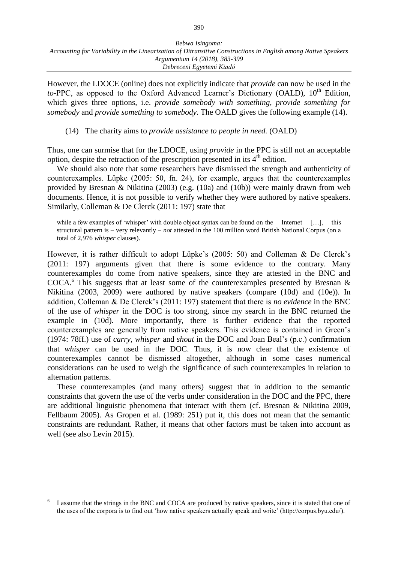However, the LDOCE (online) does not explicitly indicate that *provide* can now be used in the *to-PPC*, as opposed to the Oxford Advanced Learner's Dictionary (OALD), 10<sup>th</sup> Edition, which gives three options, i.e. *provide somebody with something, provide something for somebody* and *provide something to somebody*. The OALD gives the following example (14).

(14) The charity aims to *provide assistance to people in need.* (OALD)

Thus, one can surmise that for the LDOCE, using *provide* in the PPC is still not an acceptable option, despite the retraction of the prescription presented in its  $4<sup>th</sup>$  edition.

We should also note that some researchers have dismissed the strength and authenticity of counterexamples. Lüpke (2005: 50, fn. 24), for example, argues that the counterexamples provided by Bresnan & Nikitina (2003) (e.g. (10a) and (10b)) were mainly drawn from web documents. Hence, it is not possible to verify whether they were authored by native speakers. Similarly, Colleman & De Clerck (2011: 197) state that

while a few examples of 'whisper' with double object syntax can be found on the Internet [...], this structural pattern is – very relevantly – *not* attested in the 100 million word British National Corpus (on a total of 2,976 *whisper* clauses).

However, it is rather difficult to adopt Lüpke's (2005: 50) and Colleman & De Clerck's (2011: 197) arguments given that there is some evidence to the contrary. Many counterexamples do come from native speakers, since they are attested in the BNC and COCA.<sup>6</sup> This suggests that at least some of the counterexamples presented by Bresnan  $\&$ Nikitina (2003, 2009) were authored by native speakers (compare (10d) and (10e)). In addition, Colleman & De Clerck's (2011: 197) statement that there is *no evidence* in the BNC of the use of *whisper* in the DOC is too strong, since my search in the BNC returned the example in (10d). More importantly, there is further evidence that the reported counterexamples are generally from native speakers. This evidence is contained in Green's (1974: 78ff.) use of *carry, whisper* and *shout* in the DOC and Joan Beal's (p.c.) confirmation that *whisper* can be used in the DOC. Thus, it is now clear that the existence of counterexamples cannot be dismissed altogether, although in some cases numerical considerations can be used to weigh the significance of such counterexamples in relation to alternation patterns.

These counterexamples (and many others) suggest that in addition to the semantic constraints that govern the use of the verbs under consideration in the DOC and the PPC, there are additional linguistic phenomena that interact with them (cf. Bresnan & Nikitina 2009, Fellbaum 2005). As Gropen et al. (1989: 251) put it, this does not mean that the semantic constraints are redundant. Rather, it means that other factors must be taken into account as well (see also Levin 2015).

<sup>6</sup> I assume that the strings in the BNC and COCA are produced by native speakers, since it is stated that one of the uses of the corpora is to find out 'how native speakers actually speak and write' (http://corpus.byu.edu/).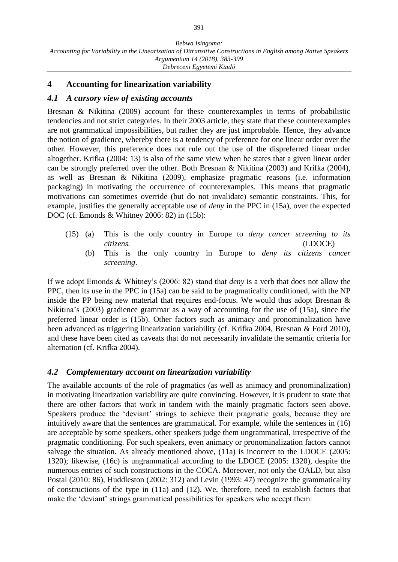# **4 Accounting for linearization variability**

### *4.1 A cursory view of existing accounts*

Bresnan & Nikitina (2009) account for these counterexamples in terms of probabilistic tendencies and not strict categories. In their 2003 article, they state that these counterexamples are not grammatical impossibilities, but rather they are just improbable. Hence, they advance the notion of gradience, whereby there is a tendency of preference for one linear order over the other. However, this preference does not rule out the use of the dispreferred linear order altogether. Krifka (2004: 13) is also of the same view when he states that a given linear order can be strongly preferred over the other. Both Bresnan & Nikitina (2003) and Krifka (2004), as well as Bresnan & Nikitina (2009), emphasize pragmatic reasons (i.e. information packaging) in motivating the occurrence of counterexamples. This means that pragmatic motivations can sometimes override (but do not invalidate) semantic constraints. This, for example, justifies the generally acceptable use of *deny* in the PPC in (15a), over the expected DOC (cf. Emonds & Whitney 2006: 82) in (15b):

- (15) (a) This is the only country in Europe to *deny cancer screening to its citizens.* (LDOCE)
	- (b) This is the only country in Europe to *deny its citizens cancer screening*.

If we adopt Emonds & Whitney's (2006: 82) stand that *deny* is a verb that does not allow the PPC, then its use in the PPC in (15a) can be said to be pragmatically conditioned, with the NP inside the PP being new material that requires end-focus. We would thus adopt Bresnan & Nikitina's (2003) gradience grammar as a way of accounting for the use of (15a), since the preferred linear order is (15b). Other factors such as animacy and pronominalization have been advanced as triggering linearization variability (cf. Krifka 2004, Bresnan & Ford 2010), and these have been cited as caveats that do not necessarily invalidate the semantic criteria for alternation (cf. Krifka 2004).

# *4.2 Complementary account on linearization variability*

The available accounts of the role of pragmatics (as well as animacy and pronominalization) in motivating linearization variability are quite convincing. However, it is prudent to state that there are other factors that work in tandem with the mainly pragmatic factors seen above. Speakers produce the 'deviant' strings to achieve their pragmatic goals, because they are intuitively aware that the sentences are grammatical. For example, while the sentences in (16) are acceptable by some speakers, other speakers judge them ungrammatical, irrespective of the pragmatic conditioning. For such speakers, even animacy or pronominalization factors cannot salvage the situation. As already mentioned above, (11a) is incorrect to the LDOCE (2005: 1320); likewise, (16c) is ungrammatical according to the LDOCE (2005: 1320), despite the numerous entries of such constructions in the COCA. Moreover, not only the OALD, but also Postal (2010: 86), Huddleston (2002: 312) and Levin (1993: 47) recognize the grammaticality of constructions of the type in (11a) and (12). We, therefore, need to establish factors that make the 'deviant' strings grammatical possibilities for speakers who accept them: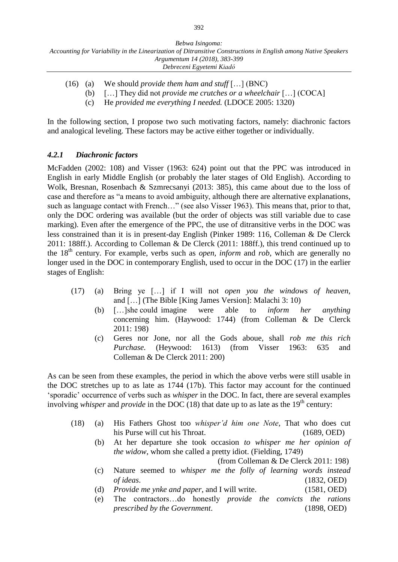- (16) (a) We should *provide them ham and stuff* […] (BNC)
	- (b) […] They did not *provide me crutches or a wheelchair* […] (COCA]
	- (c) He *provided me everything I needed.* (LDOCE 2005: 1320)

In the following section, I propose two such motivating factors, namely: diachronic factors and analogical leveling. These factors may be active either together or individually.

# *4.2.1 Diachronic factors*

McFadden (2002: 108) and Visser (1963: 624) point out that the PPC was introduced in English in early Middle English (or probably the later stages of Old English). According to Wolk, Bresnan, Rosenbach & Szmrecsanyi (2013: 385), this came about due to the loss of case and therefore as "a means to avoid ambiguity, although there are alternative explanations, such as language contact with French…" (see also Visser 1963). This means that, prior to that, only the DOC ordering was available (but the order of objects was still variable due to case marking). Even after the emergence of the PPC, the use of ditransitive verbs in the DOC was less constrained than it is in present-day English (Pinker 1989: 116, Colleman & De Clerck 2011: 188ff.). According to Colleman & De Clerck (2011: 188ff.), this trend continued up to the 18<sup>th</sup> century. For example, verbs such as *open, inform* and *rob*, which are generally no longer used in the DOC in contemporary English, used to occur in the DOC (17) in the earlier stages of English:

- (17) (a) Bring ye […] if I will not *open you the windows of heaven*, and […] (The Bible [King James Version]: Malachi 3: 10)
	- (b) […]she could imagine were able to *inform her anything* concerning him. (Haywood: 1744) (from Colleman & De Clerck 2011: 198)
	- (c) Geres nor Jone, nor all the Gods aboue, shall *rob me this rich Purchase.* (Heywood: 1613) (from Visser 1963: 635 and Colleman & De Clerck 2011: 200)

As can be seen from these examples, the period in which the above verbs were still usable in the DOC stretches up to as late as 1744 (17b). This factor may account for the continued 'sporadic' occurrence of verbs such as *whisper* in the DOC. In fact, there are several examples involving *whisper* and *provide* in the DOC (18) that date up to as late as the  $19<sup>th</sup>$  century:

- (18) (a) His Fathers Ghost too *whisper'd him one Note*, That who does cut his Purse will cut his Throat. (1689, OED)
	- (b) At her departure she took occasion *to whisper me her opinion of the widow*, whom she called a pretty idiot. (Fielding, 1749)

(from Colleman & De Clerck 2011: 198)

- (c) Nature seemed to *whisper me the folly of learning words instead of ideas*. (1832, OED)
- (d) *Provide me ynke and paper*, and I will write. (1581, OED)
- (e) The contractors…do honestly *provide the convicts the rations prescribed by the Government*. (1898, OED)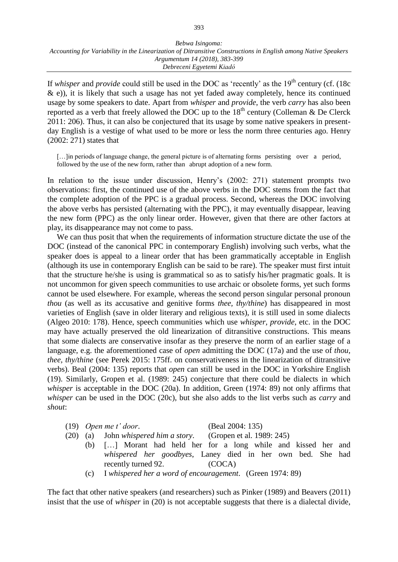If *whisper* and *provide* could still be used in the DOC as 'recently' as the 19<sup>th</sup> century (cf. (18c  $\&$  e)), it is likely that such a usage has not yet faded away completely, hence its continued usage by some speakers to date. Apart from *whisper* and *provide*, the verb *carry* has also been reported as a verb that freely allowed the DOC up to the  $18<sup>th</sup>$  century (Colleman & De Clerck 2011: 206). Thus, it can also be conjectured that its usage by some native speakers in presentday English is a vestige of what used to be more or less the norm three centuries ago. Henry (2002: 271) states that

[...]in periods of language change, the general picture is of alternating forms persisting over a period, followed by the use of the new form, rather than abrupt adoption of a new form.

In relation to the issue under discussion, Henry's (2002: 271) statement prompts two observations: first, the continued use of the above verbs in the DOC stems from the fact that the complete adoption of the PPC is a gradual process. Second, whereas the DOC involving the above verbs has persisted (alternating with the PPC), it may eventually disappear, leaving the new form (PPC) as the only linear order. However, given that there are other factors at play, its disappearance may not come to pass.

We can thus posit that when the requirements of information structure dictate the use of the DOC (instead of the canonical PPC in contemporary English) involving such verbs, what the speaker does is appeal to a linear order that has been grammatically acceptable in English (although its use in contemporary English can be said to be rare). The speaker must first intuit that the structure he/she is using is grammatical so as to satisfy his/her pragmatic goals. It is not uncommon for given speech communities to use archaic or obsolete forms, yet such forms cannot be used elsewhere. For example, whereas the second person singular personal pronoun *thou* (as well as its accusative and genitive forms *thee, thy/thine*) has disappeared in most varieties of English (save in older literary and religious texts), it is still used in some dialects (Algeo 2010: 178). Hence, speech communities which use *whisper, provide*, etc. in the DOC may have actually preserved the old linearization of ditransitive constructions. This means that some dialects are conservative insofar as they preserve the norm of an earlier stage of a language, e.g. the aforementioned case of *open* admitting the DOC (17a) and the use of *thou, thee, thy/thine* (see Perek 2015: 175ff. on conservativeness in the linearization of ditransitive verbs). Beal (2004: 135) reports that *open* can still be used in the DOC in Yorkshire English (19). Similarly, Gropen et al. (1989: 245) conjecture that there could be dialects in which *whisper* is acceptable in the DOC (20a). In addition, Green (1974: 89) not only affirms that *whisper* can be used in the DOC (20c), but she also adds to the list verbs such as *carry* and *shout*:

|  | $(19)$ Open me t' door. | (Beal 2004: 135) |
|--|-------------------------|------------------|
|--|-------------------------|------------------|

- (20) (a) John *whispered him a story*. (Gropen et al. 1989: 245)
	- (b) […] Morant had held her for a long while and kissed her and *whispered her goodbyes*, Laney died in her own bed. She had recently turned 92. (COCA)
	- (c) I *whispered her a word of encouragement*. (Green 1974: 89)

The fact that other native speakers (and researchers) such as Pinker (1989) and Beavers (2011) insist that the use of *whisper* in (20) is not acceptable suggests that there is a dialectal divide,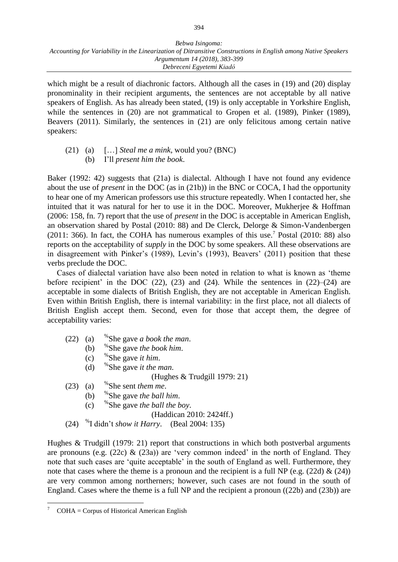which might be a result of diachronic factors. Although all the cases in (19) and (20) display pronominality in their recipient arguments, the sentences are not acceptable by all native speakers of English. As has already been stated, (19) is only acceptable in Yorkshire English, while the sentences in (20) are not grammatical to Gropen et al. (1989), Pinker (1989), Beavers (2011). Similarly, the sentences in (21) are only felicitous among certain native speakers:

### (21) (a) […] *Steal me a mink*, would you? (BNC) (b) I'll *present him the book*.

Baker (1992: 42) suggests that (21a) is dialectal. Although I have not found any evidence about the use of *present* in the DOC (as in (21b)) in the BNC or COCA, I had the opportunity to hear one of my American professors use this structure repeatedly. When I contacted her, she intuited that it was natural for her to use it in the DOC. Moreover, Mukherjee & Hoffman (2006: 158, fn. 7) report that the use of *present* in the DOC is acceptable in American English, an observation shared by Postal (2010: 88) and De Clerck, Delorge & Simon-Vandenbergen  $(2011: 366)$ . In fact, the COHA has numerous examples of this use.<sup>7</sup> Postal  $(2010: 88)$  also reports on the acceptability of *supply* in the DOC by some speakers. All these observations are in disagreement with Pinker's (1989), Levin's (1993), Beavers' (2011) position that these verbs preclude the DOC.

Cases of dialectal variation have also been noted in relation to what is known as 'theme before recipient' in the DOC  $(22)$ ,  $(23)$  and  $(24)$ . While the sentences in  $(22)$ – $(24)$  are acceptable in some dialects of British English, they are not acceptable in American English. Even within British English, there is internal variability: in the first place, not all dialects of British English accept them. Second, even for those that accept them, the degree of acceptability varies:

- $(22)$  (a) She gave *a book the man*.
	- $(b)$ She gave *the book him*.
	- $(c)$ She gave *it him*.
	- $(d)$ She gave *it the man*.

(Hughes & Trudgill 1979: 21)

- $(23)$  (a) She sent *them me*.
	- $(b)$ She gave *the ball him*.
	- $(c)$ She gave *the ball the boy*.

(Haddican 2010: 2424ff.)

(24) % I didn't *show it Harry*. (Beal 2004: 135)

Hughes & Trudgill (1979: 21) report that constructions in which both postverbal arguments are pronouns (e.g.  $(22c)$  &  $(23a)$ ) are 'very common indeed' in the north of England. They note that such cases are 'quite acceptable' in the south of England as well. Furthermore, they note that cases where the theme is a pronoun and the recipient is a full NP (e.g.  $(22d) \& (24)$ ) are very common among northerners; however, such cases are not found in the south of England. Cases where the theme is a full NP and the recipient a pronoun ((22b) and (23b)) are

 $COHA =$  Corpus of Historical American English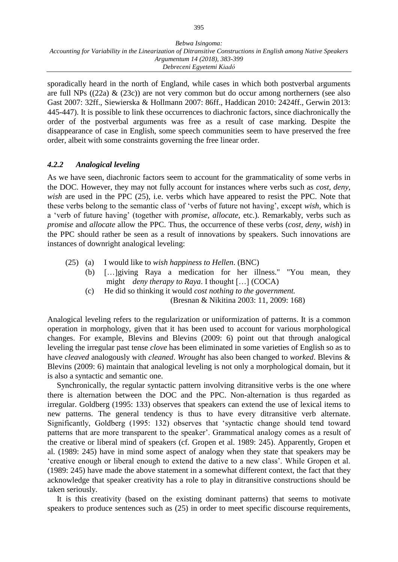sporadically heard in the north of England, while cases in which both postverbal arguments are full NPs ( $(22a)$  &  $(23c)$ ) are not very common but do occur among northerners (see also Gast 2007: 32ff., Siewierska & Hollmann 2007: 86ff., Haddican 2010: 2424ff., Gerwin 2013: 445-447). It is possible to link these occurrences to diachronic factors, since diachronically the order of the postverbal arguments was free as a result of case marking. Despite the disappearance of case in English, some speech communities seem to have preserved the free order, albeit with some constraints governing the free linear order.

# *4.2.2 Analogical leveling*

As we have seen, diachronic factors seem to account for the grammaticality of some verbs in the DOC. However, they may not fully account for instances where verbs such as *cost, deny, wish* are used in the PPC (25), i.e. verbs which have appeared to resist the PPC. Note that these verbs belong to the semantic class of 'verbs of future not having', except *wish*, which is a 'verb of future having' (together with *promise, allocate,* etc.). Remarkably, verbs such as *promise* and *allocate* allow the PPC. Thus, the occurrence of these verbs (*cost, deny, wish*) in the PPC should rather be seen as a result of innovations by speakers. Such innovations are instances of downright analogical leveling:

- (25) (a) I would like to *wish happiness to Hellen*. (BNC)
	- (b) […]giving Raya a medication for her illness." "You mean, they might *deny therapy to Raya*. I thought […] (COCA)
	- (c) He did so thinking it would *cost nothing to the government.* (Bresnan & Nikitina 2003: 11, 2009: 168)

Analogical leveling refers to the regularization or uniformization of patterns. It is a common operation in morphology, given that it has been used to account for various morphological changes. For example, Blevins and Blevins (2009: 6) point out that through analogical leveling the irregular past tense *clove* has been eliminated in some varieties of English so as to have *cleaved* analogously with *cleaned*. *Wrought* has also been changed to *worked*. Blevins & Blevins (2009: 6) maintain that analogical leveling is not only a morphological domain, but it is also a syntactic and semantic one.

Synchronically, the regular syntactic pattern involving ditransitive verbs is the one where there is alternation between the DOC and the PPC. Non-alternation is thus regarded as irregular. Goldberg (1995: 133) observes that speakers can extend the use of lexical items to new patterns. The general tendency is thus to have every ditransitive verb alternate. Significantly, Goldberg (1995: 132) observes that 'syntactic change should tend toward patterns that are more transparent to the speaker'. Grammatical analogy comes as a result of the creative or liberal mind of speakers (cf. Gropen et al. 1989: 245). Apparently, Gropen et al. (1989: 245) have in mind some aspect of analogy when they state that speakers may be 'creative enough or liberal enough to extend the dative to a new class'. While Gropen et al. (1989: 245) have made the above statement in a somewhat different context, the fact that they acknowledge that speaker creativity has a role to play in ditransitive constructions should be taken seriously.

It is this creativity (based on the existing dominant patterns) that seems to motivate speakers to produce sentences such as (25) in order to meet specific discourse requirements,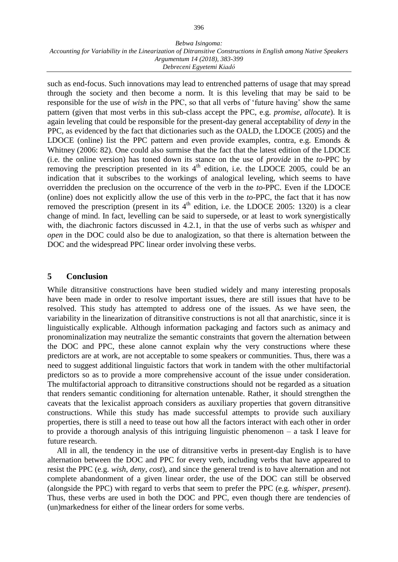such as end-focus. Such innovations may lead to entrenched patterns of usage that may spread through the society and then become a norm. It is this leveling that may be said to be responsible for the use of *wish* in the PPC, so that all verbs of 'future having' show the same pattern (given that most verbs in this sub-class accept the PPC, e.g. *promise, allocate*). It is again leveling that could be responsible for the present-day general acceptability of *deny* in the PPC, as evidenced by the fact that dictionaries such as the OALD, the LDOCE (2005) and the LDOCE (online) list the PPC pattern and even provide examples, contra, e.g. Emonds  $\&$ Whitney (2006: 82). One could also surmise that the fact that the latest edition of the LDOCE (i.e. the online version) has toned down its stance on the use of *provide* in the *to-*PPC by removing the prescription presented in its  $4<sup>th</sup>$  edition, i.e. the LDOCE 2005, could be an indication that it subscribes to the workings of analogical leveling, which seems to have overridden the preclusion on the occurrence of the verb in the *to-*PPC. Even if the LDOCE (online) does not explicitly allow the use of this verb in the *to-*PPC, the fact that it has now removed the prescription (present in its  $4<sup>th</sup>$  edition, i.e. the LDOCE 2005: 1320) is a clear change of mind. In fact, levelling can be said to supersede, or at least to work synergistically with, the diachronic factors discussed in 4.2.1, in that the use of verbs such as *whisper* and *open* in the DOC could also be due to analogization, so that there is alternation between the DOC and the widespread PPC linear order involving these verbs.

# **5 Conclusion**

While ditransitive constructions have been studied widely and many interesting proposals have been made in order to resolve important issues, there are still issues that have to be resolved. This study has attempted to address one of the issues. As we have seen, the variability in the linearization of ditransitive constructions is not all that anarchistic, since it is linguistically explicable. Although information packaging and factors such as animacy and pronominalization may neutralize the semantic constraints that govern the alternation between the DOC and PPC, these alone cannot explain why the very constructions where these predictors are at work, are not acceptable to some speakers or communities. Thus, there was a need to suggest additional linguistic factors that work in tandem with the other multifactorial predictors so as to provide a more comprehensive account of the issue under consideration. The multifactorial approach to ditransitive constructions should not be regarded as a situation that renders semantic conditioning for alternation untenable. Rather, it should strengthen the caveats that the lexicalist approach considers as auxiliary properties that govern ditransitive constructions. While this study has made successful attempts to provide such auxiliary properties, there is still a need to tease out how all the factors interact with each other in order to provide a thorough analysis of this intriguing linguistic phenomenon – a task I leave for future research.

All in all, the tendency in the use of ditransitive verbs in present-day English is to have alternation between the DOC and PPC for every verb, including verbs that have appeared to resist the PPC (e.g. *wish, deny, cost*), and since the general trend is to have alternation and not complete abandonment of a given linear order, the use of the DOC can still be observed (alongside the PPC) with regard to verbs that seem to prefer the PPC (e.g. *whisper*, *present*). Thus, these verbs are used in both the DOC and PPC, even though there are tendencies of (un)markedness for either of the linear orders for some verbs.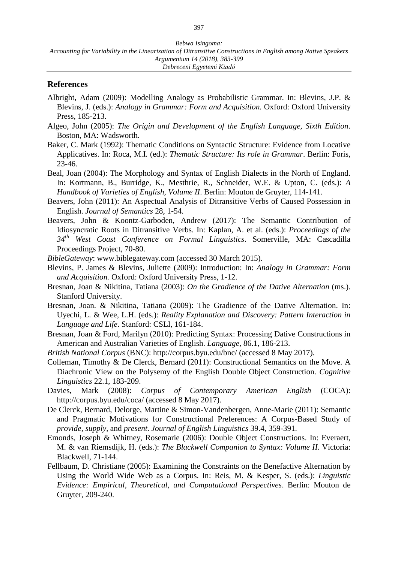### **References**

- Albright, Adam (2009): Modelling Analogy as Probabilistic Grammar. In: Blevins, J.P. & Blevins, J. (eds.): *Analogy in Grammar: Form and Acquisition.* Oxford: Oxford University Press, 185-213.
- Algeo, John (2005): *The Origin and Development of the English Language, Sixth Edition*. Boston, MA: Wadsworth.
- Baker, C. Mark (1992): Thematic Conditions on Syntactic Structure: Evidence from Locative Applicatives. In: Roca, M.I. (ed.): *Thematic Structure: Its role in Grammar*. Berlin: Foris, 23-46.
- Beal, Joan (2004): The Morphology and Syntax of English Dialects in the North of England. In: Kortmann, B., Burridge, K., Mesthrie, R., Schneider, W.E. & Upton, C. (eds.): *A Handbook of Varieties of English, Volume II*. Berlin: Mouton de Gruyter, 114-141.
- Beavers, John (2011): An Aspectual Analysis of Ditransitive Verbs of Caused Possession in English. *Journal of Semantics* 28, 1-54.
- Beavers, John & Koontz-Garboden, Andrew (2017): The Semantic Contribution of Idiosyncratic Roots in Ditransitive Verbs. In: Kaplan, A. et al. (eds.): *Proceedings of the 34th West Coast Conference on Formal Linguistics*. Somerville, MA: Cascadilla Proceedings Project, 70-80.
- *BibleGateway*: www.biblegateway.com (accessed 30 March 2015).
- Blevins, P. James & Blevins, Juliette (2009): Introduction: In: *Analogy in Grammar: Form and Acquisition.* Oxford: Oxford University Press, 1-12.
- Bresnan, Joan & Nikitina, Tatiana (2003): *On the Gradience of the Dative Alternation* (ms.). Stanford University.
- Bresnan, Joan. & Nikitina, Tatiana (2009): The Gradience of the Dative Alternation. In: Uyechi, L. & Wee, L.H. (eds.): *Reality Explanation and Discovery: Pattern Interaction in Language and Life*. Stanford: CSLI, 161-184.
- Bresnan, Joan & Ford, Marilyn (2010): Predicting Syntax: Processing Dative Constructions in American and Australian Varieties of English. *Language*, 86.1, 186-213.
- *British National Corpus* (BNC): http://corpus.byu.edu/bnc/ (accessed 8 May 2017).
- Colleman, Timothy & De Clerck, Bernard (2011): Constructional Semantics on the Move. A Diachronic View on the Polysemy of the English Double Object Construction. *Cognitive Linguistics* 22.1, 183-209.
- Davies, Mark (2008): *Corpus of Contemporary American English* (COCA): http://corpus.byu.edu/coca/ (accessed 8 May 2017).
- De Clerck, Bernard, Delorge, Martine & Simon-Vandenbergen, Anne-Marie (2011): Semantic and Pragmatic Motivations for Constructional Preferences: A Corpus-Based Study of *provide, supply,* and *present*. *Journal of English Linguistics* 39.4, 359-391*.*
- Emonds, Joseph & Whitney, Rosemarie (2006): Double Object Constructions. In: Everaert, M. & van Riemsdijk, H. (eds.): *The Blackwell Companion to Syntax: Volume II*. Victoria: Blackwell, 71-144.
- Fellbaum, D. Christiane (2005): Examining the Constraints on the Benefactive Alternation by Using the World Wide Web as a Corpus. In: Reis, M. & Kesper, S. (eds.): *Linguistic Evidence: Empirical, Theoretical, and Computational Perspectives*. Berlin: Mouton de Gruyter, 209-240.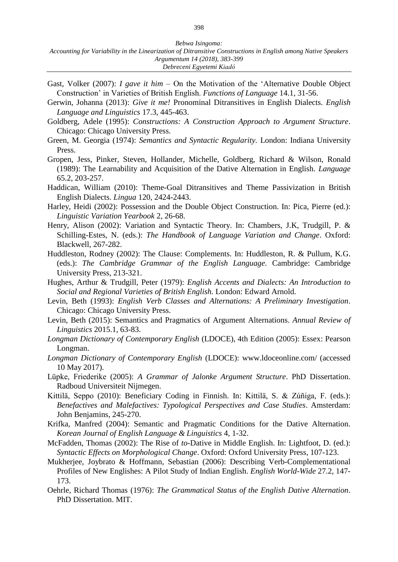- Gast, Volker (2007): *I gave it him* On the Motivation of the 'Alternative Double Object Construction' in Varieties of British English. *Functions of Language* 14.1, 31-56.
- Gerwin, Johanna (2013): *Give it me!* Pronominal Ditransitives in English Dialects. *English Language and Linguistics* 17.3, 445-463.
- Goldberg, Adele (1995): *Constructions: A Construction Approach to Argument Structure*. Chicago: Chicago University Press.
- Green, M. Georgia (1974): *Semantics and Syntactic Regularity.* London: Indiana University Press.
- Gropen, Jess, Pinker, Steven, Hollander, Michelle, Goldberg, Richard & Wilson, Ronald (1989): The Learnability and Acquisition of the Dative Alternation in English. *Language*  65.2, 203-257.
- Haddican, William (2010): Theme-Goal Ditransitives and Theme Passivization in British English Dialects. *Lingua* 120, 2424-2443.
- Harley, Heidi (2002): Possession and the Double Object Construction. In: Pica, Pierre (ed.): *Linguistic Variation Yearbook* 2, 26-68.
- Henry, Alison (2002): Variation and Syntactic Theory. In: Chambers, J.K, Trudgill, P. & Schilling-Estes, N. (eds.): *The Handbook of Language Variation and Change*. Oxford: Blackwell, 267-282.
- Huddleston, Rodney (2002): The Clause: Complements. In: Huddleston, R. & Pullum, K.G. (eds.): *The Cambridge Grammar of the English Language.* Cambridge: Cambridge University Press, 213-321.
- Hughes, Arthur & Trudgill, Peter (1979): *English Accents and Dialects: An Introduction to Social and Regional Varieties of British English.* London: Edward Arnold.
- Levin, Beth (1993): *English Verb Classes and Alternations: A Preliminary Investigation*. Chicago: Chicago University Press.
- Levin, Beth (2015): Semantics and Pragmatics of Argument Alternations. *Annual Review of Linguistics* 2015.1, 63-83.
- *Longman Dictionary of Contemporary English* (LDOCE), 4th Edition (2005): Essex: Pearson Longman.
- *Longman Dictionary of Contemporary English* (LDOCE): www.ldoceonline.com/ (accessed 10 May 2017).
- Lüpke, Friederike (2005): *A Grammar of Jalonke Argument Structure*. PhD Dissertation. Radboud Universiteit Nijmegen.
- Kittilä, Seppo (2010): Beneficiary Coding in Finnish. In: Kittilä, S. & Zúñiga, F. (eds.): *Benefactives and Malefactives: Typological Perspectives and Case Studies*. Amsterdam: John Benjamins, 245-270.
- Krifka, Manfred (2004): Semantic and Pragmatic Conditions for the Dative Alternation. *Korean Journal of English Language & Linguistics* 4, 1-32.
- McFadden, Thomas (2002): The Rise of *to-*Dative in Middle English. In: Lightfoot, D. (ed.): *Syntactic Effects on Morphological Change*. Oxford: Oxford University Press, 107-123.
- Mukherjee, Joybrato & Hoffmann, Sebastian (2006): Describing Verb-Complementational Profiles of New Englishes: A Pilot Study of Indian English. *English World-Wide* 27.2, 147- 173.
- Oehrle, Richard Thomas (1976): *The Grammatical Status of the English Dative Alternation*. PhD Dissertation. MIT.